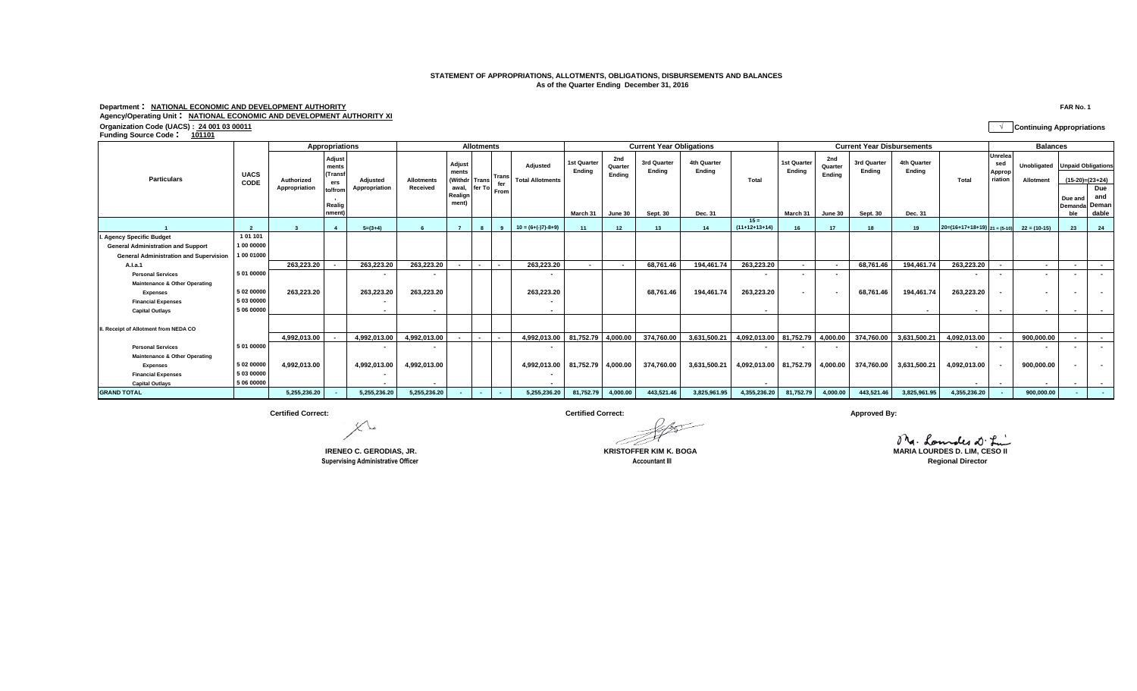## **STATEMENT OF APPROPRIATIONS, ALLOTMENTS, OBLIGATIONS, DISBURSEMENTS AND BALANCES As of the Quarter Ending December 31, 2016**

## **Department : NATIONAL ECONOMIC AND DEVELOPMENT AUTHORITY FAR No. 1 Agency/Operating Unit : NATIONAL ECONOMIC AND DEVELOPMENT AUTHORITY XI**

**Organization Code (UACS) : 24 001 03 00011 √ Continuing Appropriations Funding Source Code : <sup>101101</sup>**

|                                               | <b>UACS</b><br>CODE | Appropriations              |                                                                 |                           | <b>Allotments</b>             |                                                         |                 |                          |                                            | <b>Current Year Obligations</b>  |                                     |                                   |                                  |                                 | <b>Current Year Disbursements</b> |                                     |                                   |                                  |                                             | <b>Balances</b>                     |                                             |                          |                                                           |
|-----------------------------------------------|---------------------|-----------------------------|-----------------------------------------------------------------|---------------------------|-------------------------------|---------------------------------------------------------|-----------------|--------------------------|--------------------------------------------|----------------------------------|-------------------------------------|-----------------------------------|----------------------------------|---------------------------------|-----------------------------------|-------------------------------------|-----------------------------------|----------------------------------|---------------------------------------------|-------------------------------------|---------------------------------------------|--------------------------|-----------------------------------------------------------|
| <b>Particulars</b>                            |                     | Authorized<br>Appropriation | Adjust<br>ments<br>(Transf<br>ers<br>to/from<br>Realig<br>nment | Adjusted<br>Appropriation | <b>Allotments</b><br>Received | Adjust<br>ments<br>(Withdr<br>awal,<br>Realign<br>ment) | Trans<br>fer To | Trans<br>fer<br>From     | <b>Adiusted</b><br><b>Total Allotments</b> | 1st Quarte<br>Endina<br>March 31 | 2nd<br>Quarter<br>Endina<br>June 30 | 3rd Quarter<br>Endina<br>Sept. 30 | 4th Quarter<br>Endina<br>Dec. 31 | Total                           | 1st Quarter<br>Endina<br>March 31 | 2nd<br>Quarter<br>Endina<br>June 30 | 3rd Quarter<br>Endina<br>Sept. 30 | 4th Quarter<br>Endina<br>Dec. 31 | Total                                       | Unrelea<br>sed<br>Approp<br>riation | Unobligated Unpaid Obligations<br>Allotment | Due and<br>ble           | $(15-20)=(23+24)$<br>Due<br>and<br>Demanda Deman<br>dable |
|                                               |                     |                             | $\boldsymbol{A}$                                                | $5=(3+4)$                 |                               |                                                         |                 | $\alpha$                 | $10 = (6+(-17)-8+9)$                       |                                  | 12                                  | 13                                | 14                               | $15 =$<br>$(11+12+13+14)$       | 16                                | 17                                  | 18                                | 19                               | $20=(16+17+18+19)$ $21=(5-10)$ $22=(10-15)$ |                                     |                                             | 23                       | 24                                                        |
| <b>Agency Specific Budget</b>                 | 101101              |                             |                                                                 |                           |                               |                                                         |                 |                          |                                            |                                  |                                     |                                   |                                  |                                 |                                   |                                     |                                   |                                  |                                             |                                     |                                             |                          |                                                           |
| <b>General Administration and Support</b>     | 1 00 00000          |                             |                                                                 |                           |                               |                                                         |                 |                          |                                            |                                  |                                     |                                   |                                  |                                 |                                   |                                     |                                   |                                  |                                             |                                     |                                             |                          |                                                           |
| <b>General Administration and Supervision</b> | 1 00 01000          |                             |                                                                 |                           |                               |                                                         |                 |                          |                                            |                                  |                                     |                                   |                                  |                                 |                                   |                                     |                                   |                                  |                                             |                                     |                                             |                          |                                                           |
| A.I.a.1                                       |                     | 263,223.20                  |                                                                 | 263,223.20                | 263,223.20                    |                                                         | $\overline{a}$  | $\overline{\phantom{a}}$ | 263.223.20                                 | $\overline{\phantom{a}}$         | $\overline{\phantom{a}}$            | 68.761.46                         | 194.461.74                       | 263,223.20                      | $\sim$                            | $\sim$                              | 68.761.46                         | 194.461.74                       | 263,223.20                                  | $\overline{\phantom{a}}$            | $\sim$                                      | $\overline{\phantom{a}}$ | $\sim$                                                    |
| <b>Personal Services</b>                      | 5 01 00000          |                             |                                                                 | $\overline{\phantom{a}}$  | $\overline{\phantom{a}}$      |                                                         |                 |                          | $\sim$                                     |                                  |                                     |                                   |                                  | $\sim$                          | $\sim$                            | $\sim$                              |                                   |                                  | $\sim$                                      | $\sim$                              | $\sim$                                      | $\overline{\phantom{a}}$ | $\sim$ 100 $\mu$                                          |
| <b>Maintenance &amp; Other Operating</b>      |                     |                             |                                                                 |                           |                               |                                                         |                 |                          |                                            |                                  |                                     |                                   |                                  |                                 |                                   |                                     |                                   |                                  |                                             |                                     |                                             |                          |                                                           |
| <b>Expenses</b>                               | 5 02 00000          | 263,223.20                  |                                                                 | 263,223.20                | 263,223.20                    |                                                         |                 |                          | 263,223.20                                 |                                  |                                     | 68,761.46                         | 194,461.74                       | 263,223.20                      |                                   |                                     | 68,761.46                         | 194,461.74                       | 263,223.20                                  | $\overline{\phantom{a}}$            | $\sim$                                      |                          | $\sim$                                                    |
| <b>Financial Expenses</b>                     | 5 03 00000          |                             |                                                                 |                           |                               |                                                         |                 |                          | $\sim$                                     |                                  |                                     |                                   |                                  |                                 |                                   |                                     |                                   |                                  |                                             |                                     |                                             |                          |                                                           |
| <b>Capital Outlays</b>                        | 5 06 00000          |                             |                                                                 | $\blacksquare$            | $\overline{\phantom{a}}$      |                                                         |                 |                          |                                            |                                  |                                     |                                   |                                  |                                 |                                   |                                     |                                   |                                  | $\sim$                                      | $\overline{\phantom{a}}$            | $\sim$                                      | $\overline{\phantom{a}}$ | $\sim$                                                    |
| I. Receipt of Allotment from NEDA CO          |                     |                             |                                                                 |                           |                               |                                                         |                 |                          |                                            |                                  |                                     |                                   |                                  |                                 |                                   |                                     |                                   |                                  |                                             |                                     |                                             |                          |                                                           |
|                                               |                     | 4.992.013.00                |                                                                 | 4,992,013.00              | 4,992,013.00                  |                                                         |                 |                          | 4.992.013.00                               | 81.752.79                        | 4,000.00                            | 374,760.00                        | 3,631,500.21                     | 4,092,013.00                    | 81.752.79                         | 4.000.00                            | 374.760.00                        | 3,631,500.21                     | 4,092,013.00                                |                                     | 900.000.00                                  | $\overline{\phantom{a}}$ | $\sim$                                                    |
| <b>Personal Services</b>                      | 5 01 00000          |                             |                                                                 |                           |                               |                                                         |                 |                          |                                            |                                  |                                     |                                   |                                  | $\sim$                          |                                   |                                     |                                   |                                  | $\sim$                                      | $\overline{\phantom{a}}$            |                                             | $\overline{\phantom{a}}$ | $\sim$                                                    |
| <b>Maintenance &amp; Other Operating</b>      |                     |                             |                                                                 |                           |                               |                                                         |                 |                          |                                            |                                  |                                     |                                   |                                  |                                 |                                   |                                     |                                   |                                  |                                             |                                     |                                             |                          |                                                           |
| <b>Expenses</b>                               | 5 02 00000          | 4,992,013.00                |                                                                 | 4,992,013.00              | 4,992,013.00                  |                                                         |                 |                          | 4,992,013.00                               | 81,752.79                        | 4,000.00                            | 374,760.00                        | 3,631,500.21                     | 4,092,013.00 81,752.79 4,000.00 |                                   |                                     | 374,760.00                        | 3,631,500.21                     | 4,092,013.00                                | $\sim$                              | 900,000.00                                  |                          | $\sim$                                                    |
| <b>Financial Expenses</b>                     | 50300000            |                             |                                                                 |                           |                               |                                                         |                 |                          |                                            |                                  |                                     |                                   |                                  |                                 |                                   |                                     |                                   |                                  |                                             |                                     |                                             |                          |                                                           |
| <b>Capital Outlavs</b>                        | 5 06 00000          |                             |                                                                 |                           |                               |                                                         |                 |                          |                                            |                                  |                                     |                                   |                                  |                                 |                                   |                                     |                                   |                                  |                                             | $\overline{\phantom{a}}$            |                                             |                          | $\sim$                                                    |
| <b>GRAND TOTAL</b>                            |                     | 5,255,236.20                |                                                                 | 5,255,236.20              | 5,255,236.20                  |                                                         |                 |                          | 5,255,236.20                               | 81,752.79                        | 4,000.00                            | 443,521.46                        | 3,825,961.95                     | 4,355,236.20                    | 81,752.79                         | 4,000.00                            | 443,521.46                        | 3,825,961.95                     | 4,355,236.20                                |                                     | 900,000.00                                  |                          | $\sim$                                                    |

 $X$ 

**COUNTER ACCOUNTER ACCOUNTER ACCOUNTER ACCOUNTER ACCOUNTER ACCOUNTER ACCOUNTER ACCOUNTER ACCOUNTER ACCOUNTER AND REGIONAL DIRECTOR REGIONAL DIRECTOR** 

**Certified Correct: Certified Correct: Approved By:**

**IRENEO C. GERODIAS, JR. IRENEO C. GERODIAS, JR. ISLACTION**